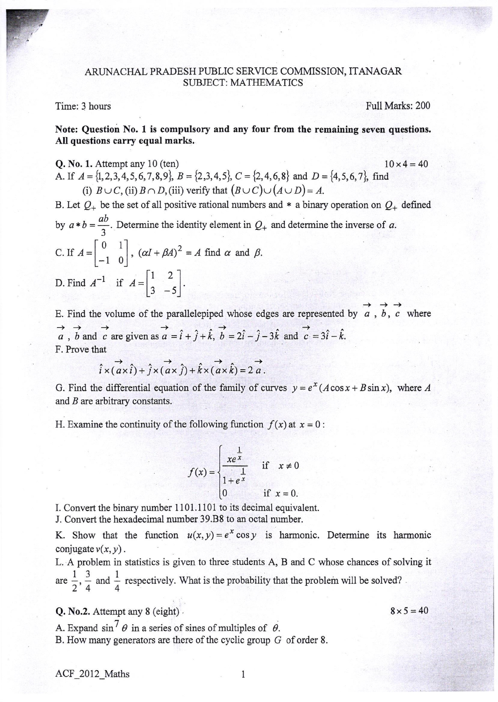## ARL]NACHAL PRADESH PUBLIC SERVICE COMMISSION, ITANAGAR SUBJECT: MATHEMATICS

## Time: 3 hours

F

Full Marks: 200

Note: Question No. 1 is compulsory and any four from the remaining seven questions. All questions carry equal marks.

**Q.** No. 1. Attempt any 10 (ten) 10 x 4 = 40 A. If  $A = \{1, 2, 3, 4, 5, 6, 7, 8, 9\}, B = \{2, 3, 4, 5\}, C = \{2, 4, 6, 8\}$  and  $D = \{4, 5, 6, 7\},$  find (i)  $B \cup C$ , (ii)  $B \cap D$ , (iii) verify that  $(B \cup C) \cup (A \cup D) = A$ .

B. Let  $Q_+$  be the set of all positive rational numbers and \* a binary operation on  $Q_+$  defined by  $a * b = \frac{ab}{3}$ . Determine the identity element in  $Q_+$  and determine the inverse of a. C. If  $A = \begin{bmatrix} 0 & 1 \\ 1 & 0 \end{bmatrix}$ ,  $(\alpha I + \beta A)^2 = A$  find  $\alpha$  and  $\beta$ .  $\begin{bmatrix} -1 & 0 \end{bmatrix}$  $\frac{1}{1+\epsilon}$   $\left[1\right]$  2 D. Find  $A^{-1}$  if  $A = \begin{bmatrix} 1 & 2 \\ 3 & -5 \end{bmatrix}$ .  $\begin{bmatrix} 3 & -5 \end{bmatrix}$ 

E. Find the volume of the parallelepiped whose edges are represented by  $\overrightarrow{a}$ ,  $\overrightarrow{b}$ ,  $\overrightarrow{c}$  where  $\rightarrow$   $\rightarrow$   $\rightarrow$ a, b and c are given as  $\vec{a} = \hat{i} + \hat{j} + \hat{k}$ ,  $\vec{b} = 2\hat{i} - \hat{j} - 3\hat{k}$  and  $\vec{c} = 3\hat{i} - \hat{k}$ . F. Prove that

$$
\overrightarrow{i} \times (\overrightarrow{a} \times \hat{i}) + \overrightarrow{j} \times (\overrightarrow{a} \times \hat{j}) + \hat{k} \times (\overrightarrow{a} \times \hat{k}) = 2\overrightarrow{a}.
$$

G. Find the differential equation of the family of curves  $y=e^x(A\cos x+B\sin x)$ , where A and B are arbitrary constants.

H. Examine the continuity of the following function  $f(x)$  at  $x = 0$ :

$$
f(x) = \begin{cases} \frac{1}{xe^{x}} & \text{if } x \neq 0 \\ 1 + e^{x} & \text{if } x = 0. \end{cases}
$$

I. Convert the binary number 1101.1101 to its decimal equivalent.

J. Convert the hexadecimal number 39.B8 to an octal number.

K. Show that the function  $u(x, y) = e^x \cos y$  is harmonic. Determine its harmonic conjugate  $v(x, y)$ .

L. A problem in statistics is given to three students A, B and C whose chances of solving it are  $\frac{1}{2}$ ,  $\frac{3}{4}$  and  $\frac{1}{4}$  respectively. What is the probability that the problem will be solved?

Q. No.2. Attempt any 8 (eight) ,

 $8 \times 5 = 40$ 

A. Expand  $\sin^7 \theta$  in a series of sines of multiples of  $\theta$ . <sup>B</sup>. How many generators are there of the cyclic group G of order <sup>8</sup>.